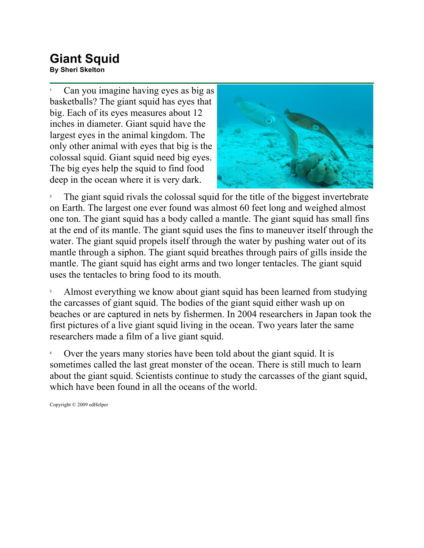## **Giant Squid**<br>By Sheri Skelton **Bildiit Syuru**<br>By Sheri Skelton

1 Can you imagine having eyes as big as basketballs? The giant squid has eyes that big. Each of its eyes measures about 12 inches in diameter. Giant squid have the largest eyes in the animal kingdom. The only other animal with eyes that big is the colossal squid. Giant squid need big eyes. The big eyes help the squid to find food deep in the ocean where it is very dark.



2 The giant squid rivals the colossal squid for the title of the biggest invertebrate on Earth. The largest one ever found was almost 60 feet long and weighed almost one ton. The giant squid has a body called a mantle. The giant squid has small fins at the end of its mantle. The giant squid uses the fins to maneuver itself through the water. The giant squid propels itself through the water by pushing water out of its mantle through a siphon. The giant squid breathes through pairs of gills inside the mantle. The giant squid has eight arms and two longer tentacles. The giant squid uses the tentacles to bring food to its mouth.

3 Almost everything we know about giant squid has been learned from studying the carcasses of giant squid. The bodies of the giant squid either wash up on beaches or are captured in nets by fishermen. In 2004 researchers in Japan took the first pictures of a live giant squid living in the ocean. Two years later the same researchers made a film of a live giant squid.

4 Over the years many stories have been told about the giant squid. It is sometimes called the last great monster of the ocean. There is still much to learn about the giant squid. Scientists continue to study the carcasses of the giant squid, which have been found in all the oceans of the world.

Copyright © 2009 edHelper